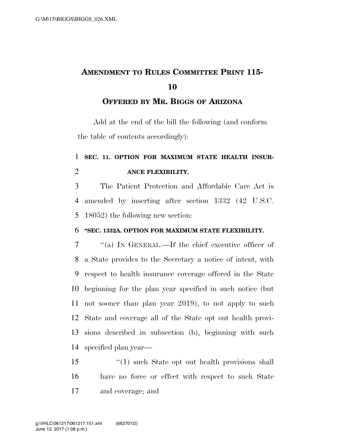# **AMENDMENT TO RULES COMMITTEE PRINT 115-**

#### **OFFERED BY MR. BIGGS OF ARIZONA**

Add at the end of the bill the following (and conform the table of contents accordingly):

### **SEC. 11. OPTION FOR MAXIMUM STATE HEALTH INSUR-ANCE FLEXIBILITY.**

 The Patient Protection and Affordable Care Act is amended by inserting after section 1332 (42 U.S.C. 18052) the following new section:

#### **''SEC. 1332A. OPTION FOR MAXIMUM STATE FLEXIBILITY.**

 ''(a) IN GENERAL.—If the chief executive officer of a State provides to the Secretary a notice of intent, with respect to health insurance coverage offered in the State beginning for the plan year specified in such notice (but not sooner than plan year 2019), to not apply to such State and coverage all of the State opt out health provi- sions described in subsection (b), beginning with such specified plan year—

 ''(1) such State opt out health provisions shall have no force or effect with respect to such State and coverage; and